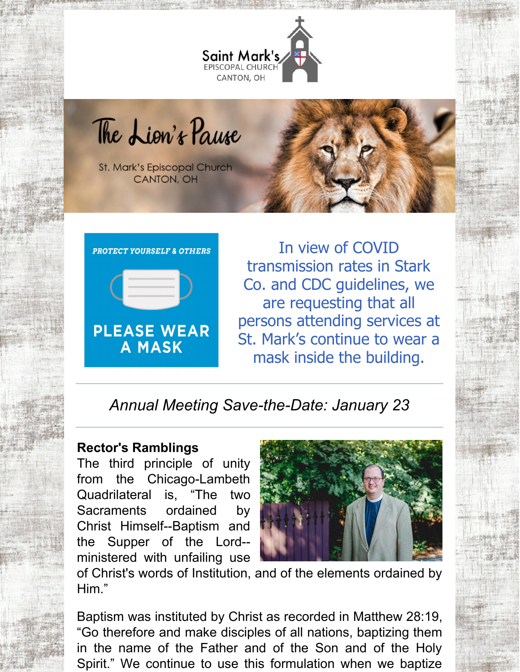

The Lion's Pause

St. Mark's Episcopal Church CANTON, OH



In view of COVID transmission rates in Stark Co. and CDC guidelines, we are requesting that all persons attending services at St. Mark's continue to wear a mask inside the building.

# *Annual Meeting Save-the-Date: January 23*

#### **Rector's Ramblings**

The third principle of unity from the Chicago-Lambeth Quadrilateral is, "The two Sacraments ordained by Christ Himself--Baptism and the Supper of the Lord- ministered with unfailing use



of Christ's words of Institution, and of the elements ordained by Him."

Baptism was instituted by Christ as recorded in Matthew 28:19, "Go therefore and make disciples of all nations, baptizing them in the name of the Father and of the Son and of the Holy Spirit." We continue to use this formulation when we baptize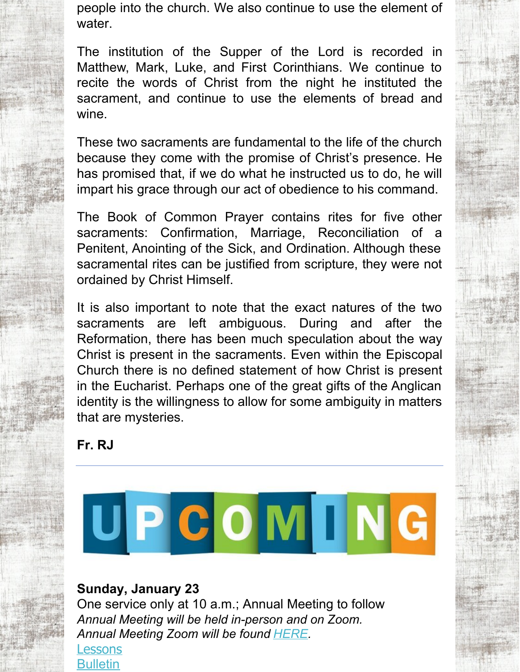people into the church. We also continue to use the element of water.

The institution of the Supper of the Lord is recorded in Matthew, Mark, Luke, and First Corinthians. We continue to recite the words of Christ from the night he instituted the sacrament, and continue to use the elements of bread and wine.

These two sacraments are fundamental to the life of the church because they come with the promise of Christ's presence. He has promised that, if we do what he instructed us to do, he will impart his grace through our act of obedience to his command.

The Book of Common Prayer contains rites for five other sacraments: Confirmation, Marriage, Reconciliation of a Penitent, Anointing of the Sick, and Ordination. Although these sacramental rites can be justified from scripture, they were not ordained by Christ Himself.

It is also important to note that the exact natures of the two sacraments are left ambiguous. During and after the Reformation, there has been much speculation about the way Christ is present in the sacraments. Even within the Episcopal Church there is no defined statement of how Christ is present in the Eucharist. Perhaps one of the great gifts of the Anglican identity is the willingness to allow for some ambiguity in matters that are mysteries.

**Fr. RJ**



## **Sunday, January 23**

One service only at 10 a.m.; Annual Meeting to follow *Annual Meeting will be held in-person and on Zoom. Annual Meeting Zoom will be found [HERE](https://us06web.zoom.us/j/87365533239?pwd=Nm1PUjdKeVY0S1NJWm4wV3hWRysrQT09).*

[Lessons](http://lectionarypage.net/YearC_RCL/Epiphany/CEpi3_RCL.html) **[Bulletin](https://files.constantcontact.com/32ed7374201/e38ddb1e-dde6-4658-a41f-e9566fa90c7f.pdf)**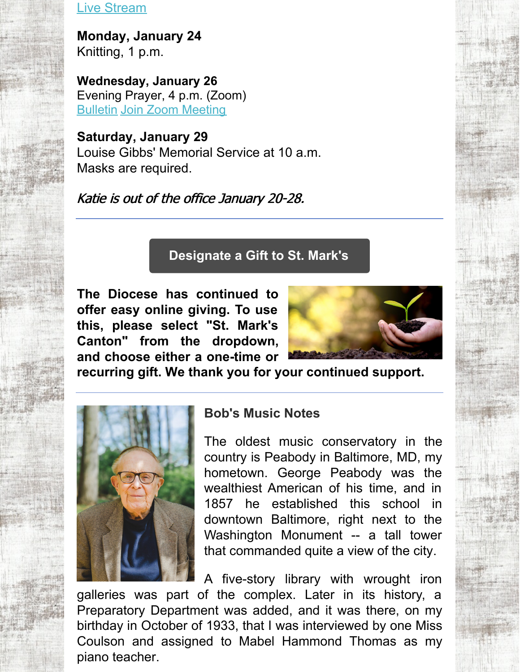Live [Stream](https://www.facebook.com/stmarks.canton)

**Monday, January 24** Knitting, 1 p.m.

**Wednesday, January 26** Evening Prayer, 4 p.m. (Zoom) [Bulletin](https://files.constantcontact.com/32ed7374201/3400a850-cedc-4c7e-8d01-5672afbd77da.pdf) Join Zoom [Meeting](https://us06web.zoom.us/j/89272540840?pwd=Uy82MThGalc4N3pBeENrK2I0N2phZz09)

**Saturday, January 29** Louise Gibbs' Memorial Service at 10 a.m. Masks are required.

Katie is out of the office January 20-28.

# **[Designate](https://dohio.org/designate-a-gift-to-your-parish) a Gift to St. Mark's**

**The Diocese has continued to offer easy online giving. To use this, please select "St. Mark's Canton" from the dropdown, and choose either a one-time or**



**recurring gift. We thank you for your continued support.**



## **Bob's Music Notes**

The oldest music conservatory in the country is Peabody in Baltimore, MD, my hometown. George Peabody was the wealthiest American of his time, and in 1857 he established this school in downtown Baltimore, right next to the Washington Monument -- a tall tower that commanded quite a view of the city.

A five-story library with wrought iron galleries was part of the complex. Later in its history, a Preparatory Department was added, and it was there, on my birthday in October of 1933, that I was interviewed by one Miss Coulson and assigned to Mabel Hammond Thomas as my piano teacher.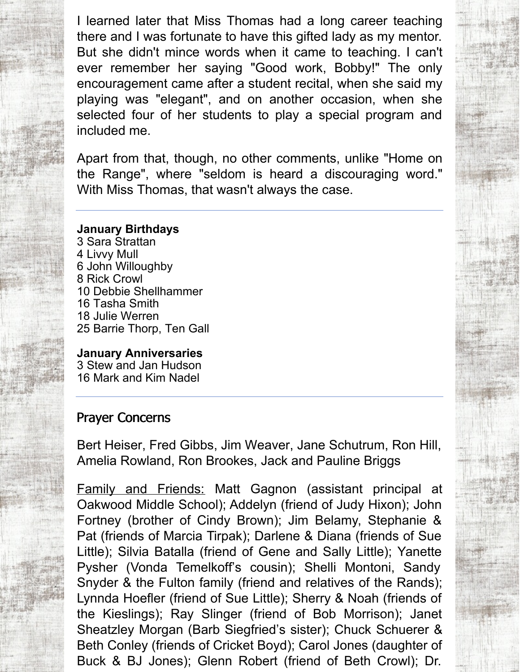I learned later that Miss Thomas had a long career teaching there and I was fortunate to have this gifted lady as my mentor. But she didn't mince words when it came to teaching. I can't ever remember her saying "Good work, Bobby!" The only encouragement came after a student recital, when she said my playing was "elegant", and on another occasion, when she selected four of her students to play a special program and included me.

Apart from that, though, no other comments, unlike "Home on the Range", where "seldom is heard a discouraging word." With Miss Thomas, that wasn't always the case.

#### **January Birthdays**

 Sara Strattan Livvy Mull John Willoughby Rick Crowl Debbie Shellhammer Tasha Smith Julie Werren Barrie Thorp, Ten Gall

**January Anniversaries** 3 Stew and Jan Hudson 16 Mark and Kim Nadel

#### Prayer Concerns

Bert Heiser, Fred Gibbs, Jim Weaver, Jane Schutrum, Ron Hill, Amelia Rowland, Ron Brookes, Jack and Pauline Briggs

Family and Friends: Matt Gagnon (assistant principal at Oakwood Middle School); Addelyn (friend of Judy Hixon); John Fortney (brother of Cindy Brown); Jim Belamy, Stephanie & Pat (friends of Marcia Tirpak); Darlene & Diana (friends of Sue Little); Silvia Batalla (friend of Gene and Sally Little); Yanette Pysher (Vonda Temelkoff's cousin); Shelli Montoni, Sandy Snyder & the Fulton family (friend and relatives of the Rands); Lynnda Hoefler (friend of Sue Little); Sherry & Noah (friends of the Kieslings); Ray Slinger (friend of Bob Morrison); Janet Sheatzley Morgan (Barb Siegfried's sister); Chuck Schuerer & Beth Conley (friends of Cricket Boyd); Carol Jones (daughter of Buck & BJ Jones); Glenn Robert (friend of Beth Crowl); Dr.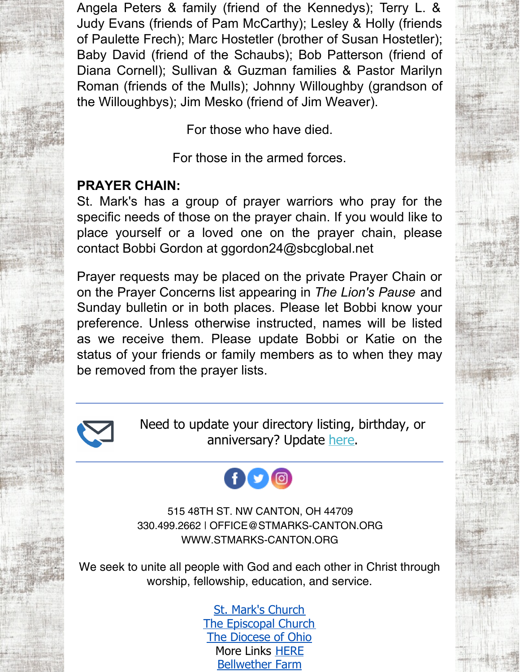Angela Peters & family (friend of the Kennedys); Terry L. & Judy Evans (friends of Pam McCarthy); Lesley & Holly (friends of Paulette Frech); Marc Hostetler (brother of Susan Hostetler); Baby David (friend of the Schaubs); Bob Patterson (friend of Diana Cornell); Sullivan & Guzman families & Pastor Marilyn Roman (friends of the Mulls); Johnny Willoughby (grandson of the Willoughbys); Jim Mesko (friend of Jim Weaver).

For those who have died.

For those in the armed forces.

## **PRAYER CHAIN:**

St. Mark's has a group of prayer warriors who pray for the specific needs of those on the prayer chain. If you would like to place yourself or a loved one on the prayer chain, please contact Bobbi Gordon at ggordon24@sbcglobal.net

Prayer requests may be placed on the private Prayer Chain or on the Prayer Concerns list appearing in *The Lion's Pause* and Sunday bulletin or in both places. Please let Bobbi know your preference. Unless otherwise instructed, names will be listed as we receive them. Please update Bobbi or Katie on the status of your friends or family members as to when they may be removed from the prayer lists.



Need to update your directory listing, birthday, or anniversary? Update [here](https://members.instantchurchdirectory.com/).

# $\mathbf{0}$   $\mathbf{0}$   $\mathbf{0}$

515 48TH ST. NW CANTON, OH 44709 330.499.2662 | OFFICE@STMARKS-CANTON.ORG WWW.STMARKS-CANTON.ORG

We seek to unite all people with God and each other in Christ through worship, fellowship, education, and service.

> St. Mark's [Church](http://www.stmarks-canton.org/) The [Episcopal](http://www.episcopalchurch.org/) Church The [Diocese](http://www.dohio.org/) of Ohio More Links [HERE](http://www.stmarks-canton.org/links.html) [Bellwether](https://bellwetherfarm.com/?fbclid=IwAR1Y7vO6zNQDzSUL3xvXtdq5hVBoazRyBkmCAo_vhIBQe3oRvlfK36ERyyA) Farm